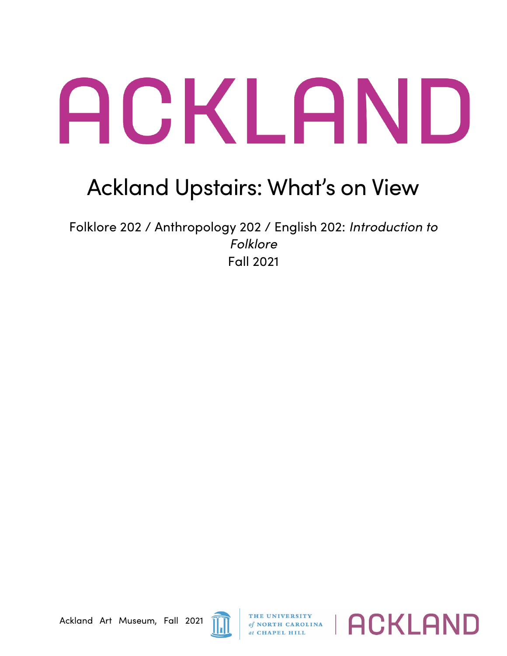## ACKLAND

## Ackland Upstairs: What's on View

Folklore 202 / Anthropology 202 / English 202: *Introduction to Folklore* Fall 2021



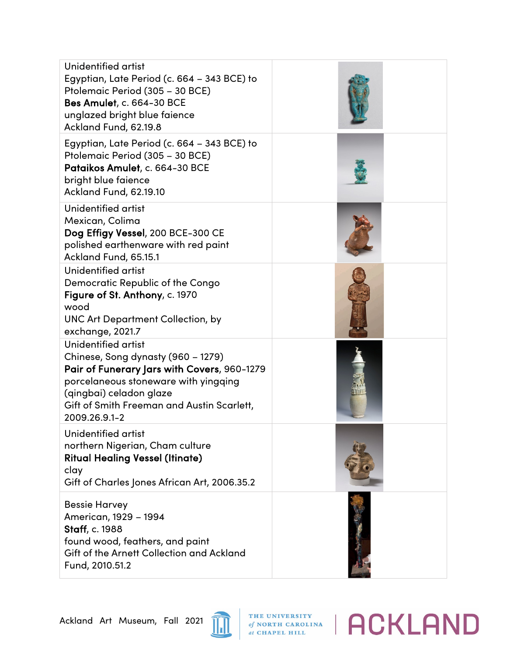| Unidentified artist<br>Egyptian, Late Period (c. 664 – 343 BCE) to<br>Ptolemaic Period (305 - 30 BCE)<br><b>Bes Amulet, c. 664-30 BCE</b><br>unglazed bright blue faience<br>Ackland Fund, 62.19.8                                         |  |
|--------------------------------------------------------------------------------------------------------------------------------------------------------------------------------------------------------------------------------------------|--|
| Egyptian, Late Period (c. 664 - 343 BCE) to<br>Ptolemaic Period (305 - 30 BCE)<br>Pataikos Amulet, c. 664-30 BCE<br>bright blue faience<br>Ackland Fund, 62.19.10                                                                          |  |
| Unidentified artist<br>Mexican, Colima<br>Dog Effigy Vessel, 200 BCE-300 CE<br>polished earthenware with red paint<br>Ackland Fund, 65.15.1                                                                                                |  |
| Unidentified artist<br>Democratic Republic of the Congo<br>Figure of St. Anthony, c. 1970<br>wood<br><b>UNC Art Department Collection, by</b><br>exchange, 2021.7                                                                          |  |
| Unidentified artist<br>Chinese, Song dynasty (960 - 1279)<br>Pair of Funerary Jars with Covers, 960-1279<br>porcelaneous stoneware with yingqing<br>(qingbai) celadon glaze<br>Gift of Smith Freeman and Austin Scarlett,<br>2009.26.9.1-2 |  |
| Unidentified artist<br>northern Nigerian, Cham culture<br><b>Ritual Healing Vessel (Itinate)</b><br>clay<br>Gift of Charles Jones African Art, 2006.35.2                                                                                   |  |
| <b>Bessie Harvey</b><br>American, 1929 - 1994<br><b>Staff, c. 1988</b><br>found wood, feathers, and paint<br>Gift of the Arnett Collection and Ackland<br>Fund, 2010.51.2                                                                  |  |